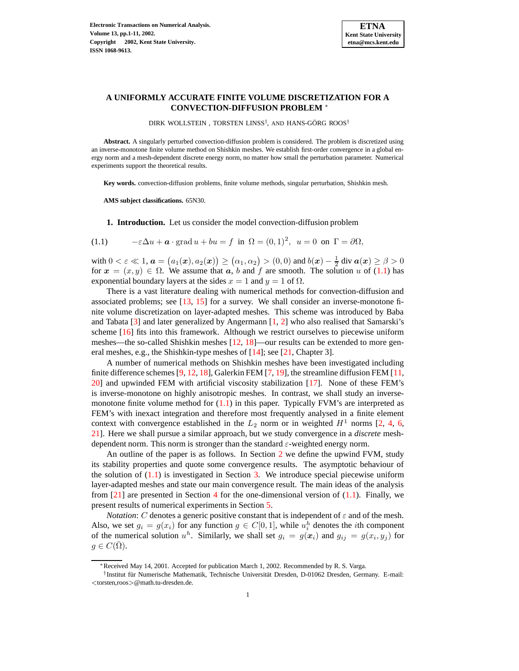

## **A UNIFORMLY ACCURATE FINITE VOLUME DISCRETIZATION FOR A CONVECTION-DIFFUSION PROBLEM** <sup>∗</sup>

<span id="page-0-0"></span>DIRK WOLLSTEIN , TORSTEN LINSS<sup>†</sup>, AND HANS-GÖRG ROOS<sup>†</sup>

**Abstract.** A singularly perturbed convection-diffusion problem is considered. The problem is discretized using an inverse-monotone finite volume method on Shishkin meshes. We establish first-order convergence in a global energy norm and a mesh-dependent discrete energy norm, no matter how small the perturbation parameter. Numerical experiments support the theoretical results.

**Key words.** convection-diffusion problems, finite volume methods, singular perturbation, Shishkin mesh.

**AMS subject classifications.** 65N30.

**1. Introduction.** Let us consider the model convection-diffusion problem

(1.1) 
$$
-\varepsilon \Delta u + \boldsymbol{a} \cdot \text{grad } u + bu = f \text{ in } \Omega = (0,1)^2, \ u = 0 \text{ on } \Gamma = \partial \Omega,
$$

with  $0 < \varepsilon \ll 1$ ,  $\boldsymbol{a} = (a_1(\boldsymbol{x}), a_2(\boldsymbol{x})) \ge (a_1, a_2) > (0, 0)$  and  $b(\boldsymbol{x}) - \frac{1}{2}$  div  $\boldsymbol{a}(\boldsymbol{x}) \ge \beta > 0$ for  $x = (x, y) \in \Omega$ . We assume that  $a, b$  and f are smooth. The solution u of [\(1.1\)](#page-0-0) has exponential boundary layers at the sides  $x = 1$  and  $y = 1$  of  $\Omega$ .

There is a vast literature dealing with numerical methods for convection-diffusion and associated problems; see  $[13, 15]$  $[13, 15]$  $[13, 15]$  for a survey. We shall consider an inverse-monotone finite volume discretization on layer-adapted meshes. This scheme was introduced by Baba and Tabata  $[3]$  and later generalized by Angermann  $[1, 2]$  $[1, 2]$  $[1, 2]$  who also realised that Samarski's scheme [\[16\]](#page-10-2) fits into this framework. Although we restrict ourselves to piecewise uniform meshes—the so-called Shishkin meshes  $[12, 18]$  $[12, 18]$  $[12, 18]$ —our results can be extended to more general meshes, e.g., the Shishkin-type meshes of [\[14\]](#page-10-5); see [\[21,](#page-10-6) Chapter 3].

A number of numerical methods on Shishkin meshes have been investigated including finite difference schemes  $[9, 12, 18]$  $[9, 12, 18]$  $[9, 12, 18]$  $[9, 12, 18]$  $[9, 12, 18]$ , Galerkin FEM  $[7, 19]$  $[7, 19]$  $[7, 19]$ , the streamline diffusion FEM  $[11]$ , [20\]](#page-10-9) and upwinded FEM with artificial viscosity stabilization [\[17\]](#page-10-10). None of these FEM's is inverse-monotone on highly anisotropic meshes. In contrast, we shall study an inversemonotone finite volume method for  $(1.1)$  in this paper. Typically FVM's are interpreted as FEM's with inexact integration and therefore most frequently analysed in a finite element context with convergence established in the  $L_2$  norm or in weighted  $H^1$  norms [\[2,](#page-9-2) [4,](#page-9-5) [6,](#page-9-6) [21\]](#page-10-6). Here we shall pursue a similar approach, but we study convergence in a *discrete* meshdependent norm. This norm is stronger than the standard  $\varepsilon$ -weighted energy norm.

An outline of the paper is as follows. In Section [2](#page-1-0) we define the upwind FVM, study its stability properties and quote some convergence results. The asymptotic behaviour of the solution of  $(1.1)$  is investigated in Section [3.](#page-3-0) We introduce special piecewise uniform layer-adapted meshes and state our main convergence result. The main ideas of the analysis from  $[21]$  are presented in Section [4](#page-4-0) for the one-dimensional version of  $(1.1)$ . Finally, we present results of numerical experiments in Section [5.](#page-9-7)

*Notation*: C denotes a generic positive constant that is independent of  $\varepsilon$  and of the mesh. Also, we set  $g_i = g(x_i)$  for any function  $g \in C[0,1]$ , while  $u_i^h$  denotes the *i*th component of the numerical solution  $u^h$ . Similarly, we shall set  $g_i = g(x_i)$  and  $g_{ij} = g(x_i, y_j)$  for  $g \in C(\Omega)$ .

<sup>∗</sup>Received May 14, 2001. Accepted for publication March 1, 2002. Recommended by R. S. Varga.

<sup>&</sup>lt;sup>†</sup> Institut für Numerische Mathematik, Technische Universität Dresden, D-01062 Dresden, Germany. E-mail: <torsten,roos>@math.tu-dresden.de.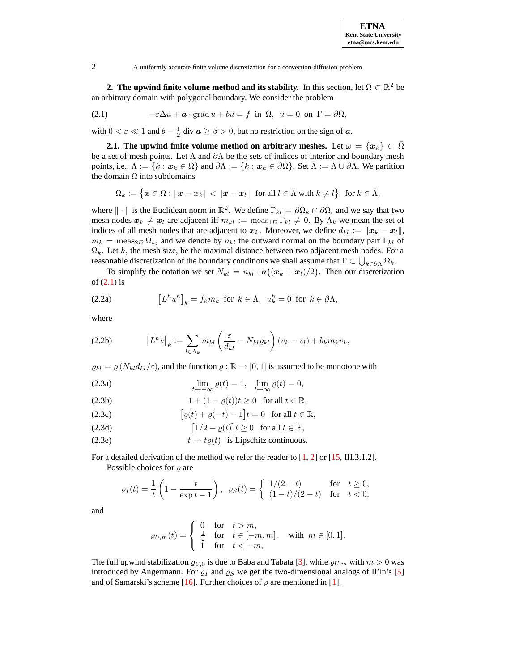<span id="page-1-1"></span><span id="page-1-0"></span>**2. The upwind finite volume method and its stability.** In this section, let  $\Omega \subset \mathbb{R}^2$  be an arbitrary domain with polygonal boundary. We consider the problem

(2.1) 
$$
-\varepsilon \Delta u + \boldsymbol{a} \cdot \text{grad } u + bu = f \text{ in } \Omega, \ u = 0 \text{ on } \Gamma = \partial \Omega,
$$

with  $0 < \varepsilon \ll 1$  and  $b - \frac{1}{2}$  div  $\boldsymbol{a} \ge \beta > 0$ , but no restriction on the sign of  $\boldsymbol{a}$ .

**2.1. The upwind finite volume method on arbitrary meshes.** Let  $\omega = \{x_k\} \subset \Omega$ be a set of mesh points. Let  $\Lambda$  and  $\partial\Lambda$  be the sets of indices of interior and boundary mesh points, i.e.,  $\Lambda := \{k : x_k \in \Omega\}$  and  $\partial \Lambda := \{k : x_k \in \partial \Omega\}$ . Set  $\overline{\Lambda} := \Lambda \cup \partial \Lambda$ . We partition the domain  $\Omega$  into subdomains

$$
\Omega_k:=\big\{\boldsymbol x\in\Omega:\|\boldsymbol x-\boldsymbol x_k\|<\|\boldsymbol x-\boldsymbol x_l\|\ \text{ for all }l\in\bar\Lambda\text{ with }k\neq l\big\}\ \text{ for }k\in\bar\Lambda,
$$

where  $\|\cdot\|$  is the Euclidean norm in  $\mathbb{R}^2$ . We define  $\Gamma_{kl} = \partial \Omega_k \cap \partial \Omega_l$  and we say that two mesh nodes  $x_k \neq x_l$  are adjacent iff  $m_{kl} := \text{meas}_{1D} \Gamma_{kl} \neq 0$ . By  $\Lambda_k$  we mean the set of indices of all mesh nodes that are adjacent to  $x_k$ . Moreover, we define  $d_{kl} := ||x_k - x_l||$ ,  $m_k = \text{meas}_{2D} \Omega_k$ , and we denote by  $n_{kl}$  the outward normal on the boundary part  $\Gamma_{kl}$  of  $\Omega_k$ . Let h, the mesh size, be the maximal distance between two adjacent mesh nodes. For a reasonable discretization of the boundary conditions we shall assume that  $\Gamma \subset \bigcup_{k \in \partial \Lambda} \Omega_k$ .

<span id="page-1-2"></span>To simplify the notation we set  $N_{kl} = n_{kl} \cdot \mathbf{a}((\mathbf{x}_k + \mathbf{x}_l)/2)$ . Then our discretization of  $(2.1)$  is

(2.2a) 
$$
\left[L^h u^h\right]_k = f_k m_k \text{ for } k \in \Lambda, \ u_k^h = 0 \text{ for } k \in \partial \Lambda,
$$

where

$$
(2.2b) \t\t [L^h v]_k := \sum_{l \in \Lambda_k} m_{kl} \left( \frac{\varepsilon}{d_{kl}} - N_{kl} \varrho_{kl} \right) (v_k - v_l) + b_k m_k v_k,
$$

<span id="page-1-4"></span> $\rho_{kl} = \rho (N_{kl} d_{kl}/\varepsilon)$ , and the function  $\rho : \mathbb{R} \to [0,1]$  is assumed to be monotone with

(2.3a) 
$$
\lim_{t \to -\infty} \varrho(t) = 1, \quad \lim_{t \to \infty} \varrho(t) = 0,
$$

<span id="page-1-5"></span>(2.3b) 
$$
1 + (1 - \varrho(t))t \ge 0 \text{ for all } t \in \mathbb{R},
$$

<span id="page-1-3"></span>(2.3c) 
$$
\left[\varrho(t) + \varrho(-t) - 1\right]t = 0 \text{ for all } t \in \mathbb{R},
$$

<span id="page-1-6"></span>(2.3d) 
$$
[1/2 - \varrho(t)]t \ge 0 \text{ for all } t \in \mathbb{R},
$$

(2.3e) 
$$
t \to t\varrho(t)
$$
 is Lipschitz continuous.

For a detailed derivation of the method we refer the reader to [\[1,](#page-9-1) [2\]](#page-9-2) or [\[15,](#page-10-1) III.3.1.2]. Possible choices for  $\rho$  are

$$
\varrho_I(t) = \frac{1}{t} \left( 1 - \frac{t}{\exp t - 1} \right), \quad \varrho_S(t) = \begin{cases} 1/(2+t) & \text{for } t \ge 0, \\ (1-t)/(2-t) & \text{for } t < 0, \end{cases}
$$

and

$$
\varrho_{U,m}(t) = \begin{cases} 0 & \text{for } t > m, \\ \frac{1}{2} & \text{for } t \in [-m, m], \quad \text{with } m \in [0, 1]. \\ 1 & \text{for } t < -m, \end{cases}
$$

The full upwind stabilization  $\varrho_{U,0}$  is due to Baba and Tabata [\[3\]](#page-9-0), while  $\varrho_{U,m}$  with  $m > 0$  was introduced by Angermann. For  $\rho_I$  and  $\rho_S$  we get the two-dimensional analogs of Il'in's [\[5\]](#page-9-8) and of Samarski's scheme [\[16\]](#page-10-2). Further choices of  $\rho$  are mentioned in [\[1\]](#page-9-1).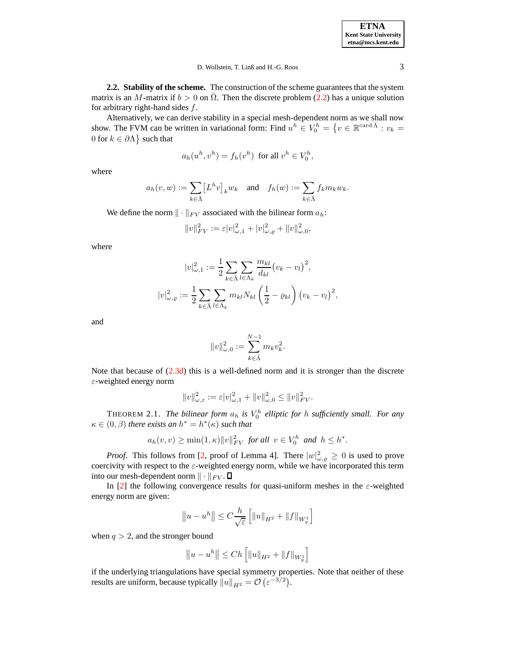## D. Wollstein, T. Linß and H.-G. Roos 3

**2.2. Stability of the scheme.** The construction of the scheme guaranteesthat the system matrix is an M-matrix if  $b > 0$  on  $\Omega$ . Then the discrete problem [\(2.2\)](#page-1-2) has a unique solution for arbitrary right-hand sides  $f$ .

Alternatively, we can derive stability in a special mesh-dependent norm as we shall now show. The FVM can be written in variational form: Find  $u^h \in V_0^h = \{v \in \mathbb{R}^{\text{card }\bar{\Lambda}} : v_k =$ 0 for  $k \in \partial \Lambda$  such that

$$
a_h(u^h, v^h) = f_h(v^h) \text{ for all } v^h \in V_0^h,
$$

where

$$
a_h(v, w) := \sum_{k \in \bar{\Lambda}} \left[L^h v\right]_k w_k \quad \text{and} \quad f_h(w) := \sum_{k \in \bar{\Lambda}} f_k m_k w_k.
$$

We define the norm  $\|\cdot\|_{FV}$  associated with the bilinear form  $a_h$ :

$$
||v||_{FV}^{2} := \varepsilon |v|_{\omega,1}^{2} + |v|_{\omega,\varrho}^{2} + ||v||_{\omega,0}^{2},
$$

where

$$
|v|_{\omega,1}^2 := \frac{1}{2} \sum_{k \in \bar{\Lambda}} \sum_{l \in \Lambda_k} \frac{m_{kl}}{d_{kl}} (v_k - v_l)^2,
$$
  

$$
|v|_{\omega,\varrho}^2 := \frac{1}{2} \sum_{k \in \bar{\Lambda}} \sum_{l \in \Lambda_k} m_{kl} N_{kl} \left(\frac{1}{2} - \varrho_{kl}\right) (v_k - v_l)^2,
$$

and

$$
||v||_{\omega,0}^2 := \sum_{k \in \bar{\Lambda}}^{N-1} m_k v_k^2.
$$

Note that because of  $(2.3d)$  this is a well-defined norm and it is stronger than the discrete ε-weighted energy norm

$$
||v||_{\omega,\varepsilon}^2 := \varepsilon |v|_{\omega,1}^2 + ||v||_{\omega,0}^2 \le ||v||_{FV}^2.
$$

<span id="page-2-0"></span>**THEOREM 2.1.** The bilinear form  $a_h$  is  $V_0^h$  elliptic for h sufficiently small. For any  $\kappa \in (0, \beta)$  *there exists an*  $h^* = h^*(\kappa)$  *such that* 

$$
a_h(v,v) \ge \min(1,\kappa) ||v||_{FV}^2 \text{ for all } v \in V_0^h \text{ and } h \le h^*.
$$

*Proof.* This follows from [\[2,](#page-9-2) proof of Lemma 4]. There  $|w|^2_{\omega, \varrho} \ge 0$  is used to prove coercivity with respect to the  $\varepsilon$ -weighted energy norm, while we have incorporated this term into our mesh-dependent norm  $\|\cdot\|_{FV}$ .  $\Box$ 

In [\[2\]](#page-9-2) the following convergence results for quasi-uniform meshes in the  $\varepsilon$ -weighted energy norm are given:

$$
||u - uh|| \leq C \frac{h}{\sqrt{\varepsilon}} \left[ ||u||_{H^2} + ||f||_{W_q^1} \right]
$$

when  $q > 2$ , and the stronger bound

$$
||u - uh|| \le Ch \left[ ||u||_{H^2} + ||f||_{W_q^1} \right]
$$

if the underlying triangulations have special symmetry properties. Note that neither of these results are uniform, because typically  $||u||_{H^2} = \mathcal{O}\left(\varepsilon^{-3/2}\right)$ .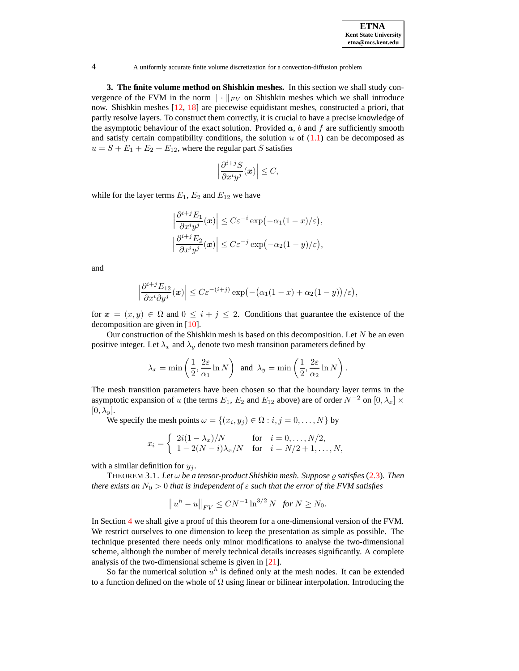<span id="page-3-0"></span>**3. The finite volume method on Shishkin meshes.** In this section we shall study convergence of the FVM in the norm  $\|\cdot\|_{FV}$  on Shishkin meshes which we shall introduce now. Shishkin meshes [\[12,](#page-10-3) [18\]](#page-10-4) are piecewise equidistant meshes, constructed a priori, that partly resolve layers. To construct them correctly, it is crucial to have a precise knowledge of the asymptotic behaviour of the exact solution. Provided  $a$ , b and f are sufficiently smooth and satisfy certain compatibility conditions, the solution  $u$  of  $(1.1)$  can be decomposed as  $u = S + E_1 + E_2 + E_{12}$ , where the regular part S satisfies

$$
\left|\frac{\partial^{i+j}S}{\partial x^i y^j}(\boldsymbol{x})\right| \leq C,
$$

while for the layer terms  $E_1$ ,  $E_2$  and  $E_{12}$  we have

$$
\left|\frac{\partial^{i+j}E_1}{\partial x^i y^j}(\boldsymbol{x})\right| \leq C\varepsilon^{-i} \exp(-\alpha_1(1-x)/\varepsilon),
$$
  

$$
\left|\frac{\partial^{i+j}E_2}{\partial x^i y^j}(\boldsymbol{x})\right| \leq C\varepsilon^{-j} \exp(-\alpha_2(1-y)/\varepsilon),
$$

and

$$
\left|\frac{\partial^{i+j}E_{12}}{\partial x^i\partial y^j}(\boldsymbol{x})\right|\leq C\varepsilon^{-(i+j)}\exp\bigl(-\bigl(\alpha_1(1-x)+\alpha_2(1-y)\bigr)/\varepsilon\bigr),
$$

for  $x = (x, y) \in \Omega$  and  $0 \leq i + j \leq 2$ . Conditions that guarantee the existence of the decomposition are given in [\[10\]](#page-10-11).

Our construction of the Shishkin mesh is based on this decomposition. Let  $N$  be an even positive integer. Let  $\lambda_x$  and  $\lambda_y$  denote two mesh transition parameters defined by

$$
\lambda_x = \min\left(\frac{1}{2}, \frac{2\varepsilon}{\alpha_1} \ln N\right)
$$
 and  $\lambda_y = \min\left(\frac{1}{2}, \frac{2\varepsilon}{\alpha_2} \ln N\right)$ .

The mesh transition parameters have been chosen so that the boundary layer terms in the asymptotic expansion of u (the terms  $E_1$ ,  $E_2$  and  $E_{12}$  above) are of order  $N^{-2}$  on  $[0, \lambda_x] \times$  $[0, \lambda_u].$ 

We specify the mesh points  $\omega = \{(x_i, y_j) \in \Omega : i, j = 0, \dots, N\}$  by

$$
x_i = \begin{cases} 2i(1-\lambda_x)/N & \text{for } i = 0,\dots, N/2, \\ 1-2(N-i)\lambda_x/N & \text{for } i = N/2+1,\dots, N, \end{cases}
$$

<span id="page-3-1"></span>with a similar definition for  $y_j$ .

THEOREM 3.1. *Let* ω *be a tensor-product Shishkin mesh. Suppose* % *satisfies* [\(2.3\)](#page-1-4)*. Then there exists an*  $N_0 > 0$  *that is independent of*  $\varepsilon$  *such that the error of the FVM satisfies* 

$$
||u^h - u||_{FV} \le CN^{-1} \ln^{3/2} N
$$
 for  $N \ge N_0$ .

In Section [4](#page-4-0) we shall give a proof of this theorem for a one-dimensional version of the FVM. We restrict ourselves to one dimension to keep the presentation as simple as possible. The technique presented there needs only minor modifications to analyse the two-dimensional scheme, although the number of merely technical details increases significantly. A complete analysis of the two-dimensional scheme is given in [\[21\]](#page-10-6).

So far the numerical solution  $u^h$  is defined only at the mesh nodes. It can be extended to a function defined on the whole of  $\Omega$  using linear or bilinear interpolation. Introducing the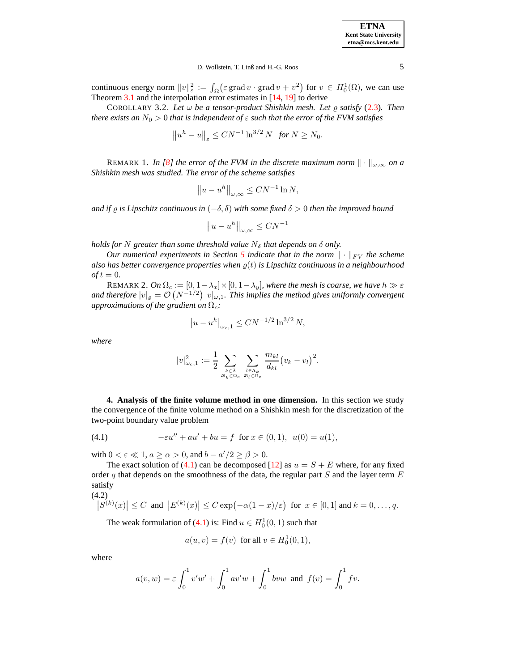| <b>ETNA</b>           |
|-----------------------|
| Kent State University |
| etna@mcs.kent.edu     |

## D. Wollstein, T. Linß and H.-G. Roos 5

continuous energy norm  $||v||_{\varepsilon}^2 := \int_{\Omega} (\varepsilon \operatorname{grad} v \cdot \operatorname{grad} v + v^2)$  for  $v \in H_0^1(\Omega)$ , we can use Theorem [3.1](#page-3-1) and the interpolation error estimates in [\[14,](#page-10-5) [19\]](#page-10-7) to derive

COROLLARY 3.2. Let  $\omega$  be a tensor-product Shishkin mesh. Let  $\varrho$  satisfy [\(2.3\)](#page-1-4). Then *there exists an*  $N_0 > 0$  *that is independent of*  $\varepsilon$  *such that the error of the FVM satisfies* 

$$
\|u^h - u\|_{\varepsilon} \le CN^{-1} \ln^{3/2} N \text{ for } N \ge N_0.
$$

REMARK 1. *In* [\[8\]](#page-9-9) the error of the FVM in the discrete maximum norm  $\|\cdot\|_{\omega,\infty}$  on a *Shishkin mesh was studied. The error of the scheme satisfies*

$$
||u - u^h||_{\omega,\infty} \le CN^{-1}\ln N,
$$

*and* if  $\rho$  *is Lipschitz continuous in*  $(-\delta, \delta)$  *with some fixed*  $\delta > 0$  *then the improved bound* 

$$
||u - u^h||_{\omega,\infty} \leq CN^{-1}
$$

*holds for* N greater *than some threshold value*  $N_{\delta}$  *that depends on*  $\delta$  *only.* 

*Our* numerical experiments in Section [5](#page-9-7) indicate that in the norm  $\|\cdot\|_{FV}$  the scheme *also* has better convergence properties when  $\rho(t)$  is Lipschitz continuous in a neighbourhood  $of t = 0.$ 

REMARK 2. *On*  $\Omega_c := [0, 1 - \lambda_x] \times [0, 1 - \lambda_y]$ *, where the mesh is coarse, we have*  $h \gg \varepsilon$ and therefore  $|v|_{\varrho} = \mathcal{O}(N^{-1/2}) |v|_{\omega,1}$ . This implies the method gives uniformly convergent *approximations of the gradient on*  $\Omega_c$ *:* 

$$
|u - u^h|_{\omega_c, 1} \leq C N^{-1/2} \ln^{3/2} N,
$$

*where*

$$
|v|^2_{\omega_c,1}:=\frac{1}{2}\sum_{\substack{k\in\bar{\Lambda}\\ \boldsymbol{x}_k\in\Omega_c}}\sum_{\substack{l\in\Lambda_k\\ \boldsymbol{x}_l\in\Omega_c}}\frac{m_{kl}}{d_{kl}}\big(v_k-v_l\big)^2.
$$

<span id="page-4-1"></span><span id="page-4-0"></span>**4. Analysis of the finite volume method in one dimension.** In this section we study the convergence of the finite volume method on a Shishkin mesh for the discretization of the two-point boundary value problem

(4.1) 
$$
-\varepsilon u'' + au' + bu = f \text{ for } x \in (0,1), \ u(0) = u(1),
$$

with  $0 < \varepsilon \ll 1$ ,  $a \ge \alpha > 0$ , and  $b - a'/2 \ge \beta > 0$ .

The exact solution of [\(4.1\)](#page-4-1) can be decomposed [\[12\]](#page-10-3) as  $u = S + E$  where, for any fixed order  $q$  that depends on the smoothness of the data, the regular part  $S$  and the layer term  $E$ satisfy (4.2)

$$
\left|S^{(k)}(x)\right| \leq C \text{ and } \left|E^{(k)}(x)\right| \leq C \exp\left(-\alpha(1-x)/\varepsilon\right) \text{ for } x \in [0,1] \text{ and } k=0,\ldots,q.
$$

The weak formulation of [\(4.1\)](#page-4-1) is: Find  $u \in H_0^1(0,1)$  such that

$$
a(u, v) = f(v) \text{ for all } v \in H_0^1(0, 1),
$$

where

$$
a(v, w) = \varepsilon \int_0^1 v' w' + \int_0^1 a v' w + \int_0^1 b v w \text{ and } f(v) = \int_0^1 f v.
$$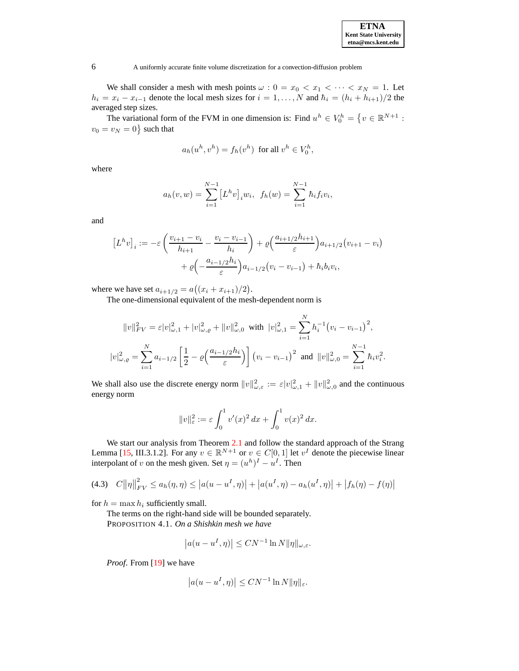We shall consider a mesh with mesh points  $\omega$  :  $0 = x_0 < x_1 < \cdots < x_N = 1$ . Let  $h_i = x_i - x_{i-1}$  denote the local mesh sizes for  $i = 1, ..., N$  and  $\hbar_i = (h_i + h_{i+1})/2$  the averaged step sizes.

The variational form of the FVM in one dimension is: Find  $u^h \in V_0^h = \{v \in \mathbb{R}^{N+1}$ :  $v_0 = v_N = 0$ } such that

$$
a_h(u^h, v^h) = f_h(v^h) \text{ for all } v^h \in V_0^h,
$$

where

$$
a_h(v, w) = \sum_{i=1}^{N-1} [L^h v]_i w_i, \ f_h(w) = \sum_{i=1}^{N-1} h_i f_i v_i,
$$

and

$$
\[L^h v\]_i := -\varepsilon \left( \frac{v_{i+1} - v_i}{h_{i+1}} - \frac{v_i - v_{i-1}}{h_i} \right) + \varrho \left( \frac{a_{i+1/2} h_{i+1}}{\varepsilon} \right) a_{i+1/2} (v_{i+1} - v_i) + \varrho \left( -\frac{a_{i-1/2} h_i}{\varepsilon} \right) a_{i-1/2} (v_i - v_{i-1}) + \hbar_i b_i v_i,
$$

where we have set  $a_{i+1/2} = a((x_i + x_{i+1})/2)$ .

The one-dimensional equivalent of the mesh-dependent norm is

$$
||v||_{FV}^{2} = \varepsilon |v|_{\omega,1}^{2} + |v|_{\omega,\varrho}^{2} + ||v||_{\omega,0}^{2} \text{ with } |v|_{\omega,1}^{2} = \sum_{i=1}^{N} h_{i}^{-1} (v_{i} - v_{i-1})^{2},
$$
  

$$
|v|_{\omega,\varrho}^{2} = \sum_{i=1}^{N} a_{i-1/2} \left[ \frac{1}{2} - \varrho \left( \frac{a_{i-1/2}h_{i}}{\varepsilon} \right) \right] (v_{i} - v_{i-1})^{2} \text{ and } ||v||_{\omega,0}^{2} = \sum_{i=1}^{N-1} h_{i} v_{i}^{2}.
$$

We shall also use the discrete energy norm  $||v||_{\omega,\varepsilon}^2 := \varepsilon |v_{\omega,1}^2 + ||v||_{\omega,0}^2$  and the continuous energy norm

<span id="page-5-0"></span>
$$
||v||_{\varepsilon}^{2} := \varepsilon \int_{0}^{1} v'(x)^{2} dx + \int_{0}^{1} v(x)^{2} dx.
$$

We start our analysis from Theorem [2.1](#page-2-0) and follow the standard approach of the Strang Lemma [\[15,](#page-10-1) III.3.1.2]. For any  $v \in \mathbb{R}^{N+1}$  or  $v \in C[0,1]$  let  $v^I$  denote the piecewise linear interpolant of v on the mesh given. Set  $\eta = (u^h)^I - u^I$ . Then

$$
(4.3) \quad C\|\eta\|_{FV}^2 \le a_h(\eta,\eta) \le |a(u - u^I, \eta)| + |a(u^I, \eta) - a_h(u^I, \eta)| + |f_h(\eta) - f(\eta)|
$$

<span id="page-5-1"></span>for  $h = \max h_i$  sufficiently small.

The terms on the right-hand side will be bounded separately. PROPOSITION 4.1. *On a Shishkin mesh we have*

$$
|a(u - u^I, \eta)| \le CN^{-1} \ln N \|\eta\|_{\omega,\varepsilon}.
$$

*Proof*. From [\[19\]](#page-10-7) we have

$$
|a(u - u^I, \eta)| \le CN^{-1}\ln N \|\eta\|_{\varepsilon}.
$$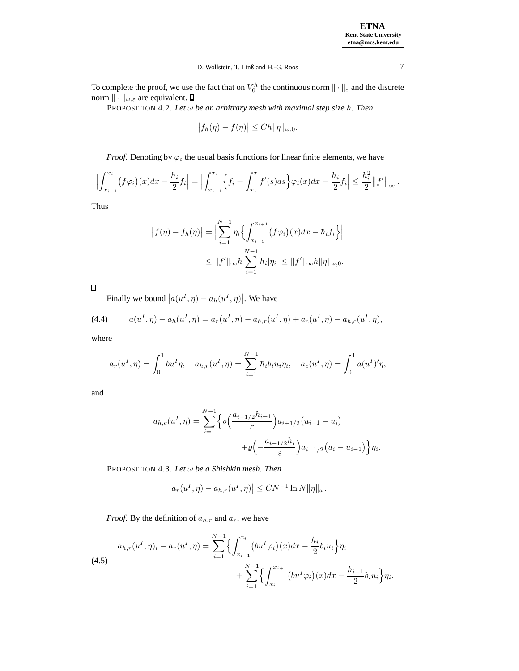| <b>ETNA</b>                  |
|------------------------------|
| <b>Kent State University</b> |
| etna@mcs.kent.edu            |

.

# D. Wollstein, T. Linß and H.-G. Roos 7

To complete the proof, we use the fact that on  $V_0^h$  the continuous norm  $\|\cdot\|_{\varepsilon}$  and the discrete norm  $\|\cdot\|_{\omega,\varepsilon}$  are equivalent.

PROPOSITION 4.2. *Let* ω *be an arbitrary mesh with maximal step size* h*. Then*

$$
\left|f_h(\eta) - f(\eta)\right| \le C h ||\eta||_{\omega,0}.
$$

*Proof.* Denoting by  $\varphi_i$  the usual basis functions for linear finite elements, we have

$$
\left| \int_{x_{i-1}}^{x_i} (f \varphi_i)(x) dx - \frac{h_i}{2} f_i \right| = \left| \int_{x_{i-1}}^{x_i} \left\{ f_i + \int_{x_i}^x f'(s) ds \right\} \varphi_i(x) dx - \frac{h_i}{2} f_i \right| \leq \frac{h_i^2}{2} ||f'||_{\infty}.
$$

Thus

<span id="page-6-2"></span>
$$
|f(\eta) - f_h(\eta)| = \Big| \sum_{i=1}^{N-1} \eta_i \Big\{ \int_{x_{i-1}}^{x_{i+1}} (f\varphi_i)(x) dx - \hbar_i f_i \Big\} \Big|
$$
  

$$
\leq ||f'||_{\infty} h \sum_{i=1}^{N-1} \hbar_i |\eta_i| \leq ||f'||_{\infty} h ||\eta||_{\omega,0}.
$$

 $\Box$ 

Finally we bound  $|a(u^I, \eta) - a_h(u^I, \eta)|$ . We have

(4.4) 
$$
a(u^I, \eta) - a_h(u^I, \eta) = a_r(u^I, \eta) - a_{h,r}(u^I, \eta) + a_c(u^I, \eta) - a_{h,c}(u^I, \eta),
$$

where

$$
a_r(u^I, \eta) = \int_0^1 bu^I \eta, \quad a_{h,r}(u^I, \eta) = \sum_{i=1}^{N-1} h_i b_i u_i \eta_i, \quad a_c(u^I, \eta) = \int_0^1 a(u^I) \eta,
$$

and

$$
a_{h,c}(u^I, \eta) = \sum_{i=1}^{N-1} \left\{ \varrho \left( \frac{a_{i+1/2} h_{i+1}}{\varepsilon} \right) a_{i+1/2} (u_{i+1} - u_i) + \varrho \left( -\frac{a_{i-1/2} h_i}{\varepsilon} \right) a_{i-1/2} (u_i - u_{i-1}) \right\} \eta_i
$$

<span id="page-6-1"></span>PROPOSITION 4.3. *Let* ω *be a Shishkin mesh. Then*

<span id="page-6-0"></span>
$$
\left| a_r(u^I, \eta) - a_{h,r}(u^I, \eta) \right| \le CN^{-1} \ln N \|\eta\|_\omega.
$$

*Proof.* By the definition of  $a_{h,r}$  and  $a_r$ , we have

$$
(4.5) \quad a_{h,r}(u^I, \eta)_i - a_r(u^I, \eta) = \sum_{i=1}^{N-1} \Biggl\{ \int_{x_{i-1}}^{x_i} \bigl( bu^I \varphi_i \bigr)(x) dx - \frac{h_i}{2} b_i u_i \Biggr\} \eta_i + \sum_{i=1}^{N-1} \Biggl\{ \int_{x_i}^{x_{i+1}} \bigl( bu^I \varphi_i \bigr)(x) dx - \frac{h_{i+1}}{2} b_i u_i \Biggr\} \eta_i.
$$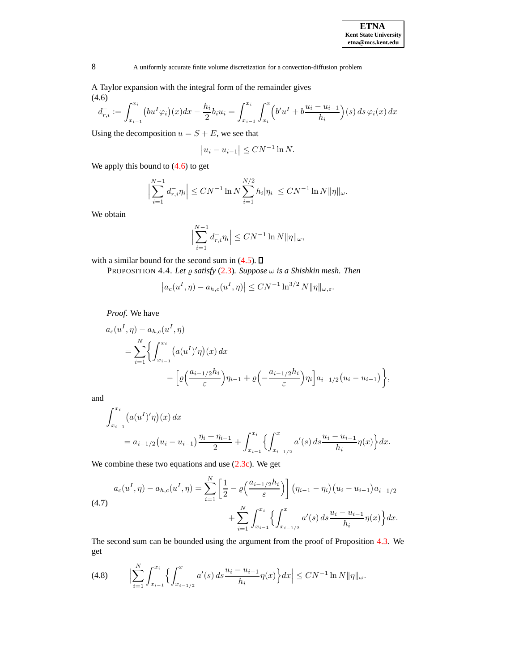A Taylor expansion with the integral form of the remainder gives (4.6)

$$
d_{r,i}^- := \int_{x_{i-1}}^{x_i} (bu^I \varphi_i)(x) dx - \frac{h_i}{2} b_i u_i = \int_{x_{i-1}}^{x_i} \int_{x_i}^x (b'u^I + b\frac{u_i - u_{i-1}}{h_i})(s) ds \varphi_i(x) dx
$$

Using the decomposition  $u = S + E$ , we see that

<span id="page-7-0"></span>
$$
|u_i - u_{i-1}| \leq CN^{-1}\ln N.
$$

We apply this bound to  $(4.6)$  to get

$$
\left|\sum_{i=1}^{N-1} d_{r,i}^{-} \eta_i\right| \leq C N^{-1} \ln N \sum_{i=1}^{N/2} h_i|\eta_i| \leq C N^{-1} \ln N \|\eta\|_{\omega}.
$$

We obtain

$$
\Big|\sum_{i=1}^{N-1} d_{r,i}^{-} \eta_i\Big| \leq C N^{-1} \ln N \|\eta\|_{\omega},
$$

<span id="page-7-2"></span>with a similar bound for the second sum in  $(4.5)$ .  $\Box$ 

 $\overline{\phantom{a}}$ 

PROPOSITION 4.4. Let  $\varrho$  *satisfy* [\(2.3\)](#page-1-4). *Suppose*  $\omega$  *is a Shishkin mesh. Then* 

$$
|a_c(u^I, \eta) - a_{h,c}(u^I, \eta)| \le CN^{-1} \ln^{3/2} N \|\eta\|_{\omega, \varepsilon}.
$$

*Proof*. We have

$$
a_c(u^I, \eta) - a_{h,c}(u^I, \eta)
$$
  
= 
$$
\sum_{i=1}^N \left\{ \int_{x_{i-1}}^{x_i} (a(u^I)'\eta)(x) dx - \left[ \varrho \left( \frac{a_{i-1/2}h_i}{\varepsilon} \right) \eta_{i-1} + \varrho \left( -\frac{a_{i-1/2}h_i}{\varepsilon} \right) \eta_i \right] a_{i-1/2}(u_i - u_{i-1}) \right\},
$$

and

<span id="page-7-1"></span>
$$
\int_{x_{i-1}}^{x_i} \left( a(u^I)' \eta \right) (x) \, dx
$$
\n
$$
= a_{i-1/2} \left( u_i - u_{i-1} \right) \frac{\eta_i + \eta_{i-1}}{2} + \int_{x_{i-1}}^{x_i} \left\{ \int_{x_{i-1/2}}^x a'(s) \, ds \frac{u_i - u_{i-1}}{h_i} \eta(x) \right\} dx.
$$

We combine these two equations and use  $(2.3c)$ . We get

$$
a_c(u^I, \eta) - a_{h,c}(u^I, \eta) = \sum_{i=1}^N \left[ \frac{1}{2} - \varrho \left( \frac{a_{i-1/2}h_i}{\varepsilon} \right) \right] \left( \eta_{i-1} - \eta_i \right) \left( u_i - u_{i-1} \right) a_{i-1/2} + \sum_{i=1}^N \int_{x_{i-1/2}}^{x_i} \left\{ \int_{x_{i-1/2}}^x a'(s) \, ds \frac{u_i - u_{i-1}}{h_i} \eta(x) \right\} dx.
$$

The second sum can be bounded using the argument from the proof of Proposition [4.3.](#page-6-1) We get

$$
(4.8) \qquad \Big|\sum_{i=1}^N \int_{x_{i-1}}^{x_i} \Big\{ \int_{x_{i-1/2}}^x a'(s) \, ds \frac{u_i - u_{i-1}}{h_i} \eta(x) \Big\} dx \Big| \leq C N^{-1} \ln N \|\eta\|_{\omega}.
$$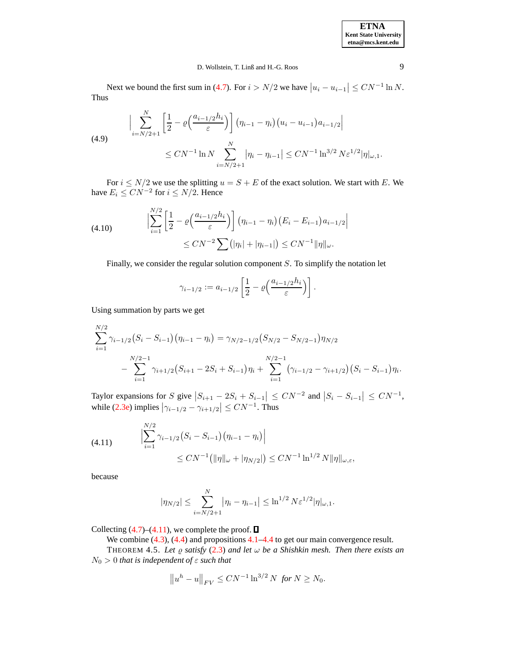| <b>ETNA</b>                  |
|------------------------------|
| <b>Kent State University</b> |
| etna@mcs.kent.edu            |

## D. Wollstein, T. Linß and H.-G. Roos 9

Next we bound the first sum in [\(4.7\)](#page-7-1). For  $i > N/2$  we have  $|u_i - u_{i-1}| \leq CN^{-1} \ln N$ . Thus

(4.9) 
$$
\left| \sum_{i=N/2+1}^{N} \left[ \frac{1}{2} - \varrho \left( \frac{a_{i-1/2} h_i}{\varepsilon} \right) \right] \left( \eta_{i-1} - \eta_i \right) \left( u_i - u_{i-1} \right) a_{i-1/2} \right|
$$
  

$$
\leq CN^{-1} \ln N \sum_{i=N/2+1}^{N} \left| \eta_i - \eta_{i-1} \right| \leq CN^{-1} \ln^{3/2} N \varepsilon^{1/2} |\eta|_{\omega,1}.
$$

For  $i \le N/2$  we use the splitting  $u = S + E$  of the exact solution. We start with E. We have  $E_i \leq CN^{-2}$  for  $i \leq N/2$ . Hence

(4.10) 
$$
\left| \sum_{i=1}^{N/2} \left[ \frac{1}{2} - \varrho \left( \frac{a_{i-1/2} h_i}{\varepsilon} \right) \right] \left( \eta_{i-1} - \eta_i \right) \left( E_i - E_{i-1} \right) a_{i-1/2} \right|
$$

$$
\leq C N^{-2} \sum \left( |\eta_i| + |\eta_{i-1}| \right) \leq C N^{-1} ||\eta||_{\omega}.
$$

Finally, we consider the regular solution component S. To simplify the notation let

$$
\gamma_{i-1/2} := a_{i-1/2} \left[ \frac{1}{2} - \varrho \left( \frac{a_{i-1/2} h_i}{\varepsilon} \right) \right].
$$

Using summation by parts we get

$$
\sum_{i=1}^{N/2} \gamma_{i-1/2} (S_i - S_{i-1}) (\eta_{i-1} - \eta_i) = \gamma_{N/2-1/2} (S_{N/2} - S_{N/2-1}) \eta_{N/2}
$$
  
- 
$$
\sum_{i=1}^{N/2-1} \gamma_{i+1/2} (S_{i+1} - 2S_i + S_{i-1}) \eta_i + \sum_{i=1}^{N/2-1} (\gamma_{i-1/2} - \gamma_{i+1/2}) (S_i - S_{i-1}) \eta_i.
$$

Taylor expansions for S give  $|S_{i+1} - 2S_i + S_{i-1}| \leq CN^{-2}$  and  $|S_i - S_{i-1}| \leq CN^{-1}$ , while [\(2.3e\)](#page-1-6) implies  $|\gamma_{i-1/2} - \gamma_{i+1/2}| \leq CN^{-1}$ . Thus

(4.11) 
$$
\left| \sum_{i=1}^{N/2} \gamma_{i-1/2} (S_i - S_{i-1}) (\eta_{i-1} - \eta_i) \right|
$$
  
 
$$
\leq CN^{-1} \left( \| \eta \|_{\omega} + |\eta_{N/2}| \right) \leq CN^{-1} \ln^{1/2} N \| \eta \|_{\omega, \varepsilon},
$$

because

<span id="page-8-0"></span>
$$
|\eta_{N/2}| \leq \sum_{i=N/2+1}^{N} |\eta_i - \eta_{i-1}| \leq \ln^{1/2} N \varepsilon^{1/2} |\eta|_{\omega,1}.
$$

Collecting  $(4.7)$ – $(4.11)$ , we complete the proof.  $\Box$ 

We combine  $(4.3)$ ,  $(4.4)$  and propositions  $4.1-4.4$  $4.1-4.4$  to get our main convergence result.

THEOREM 4.5. Let  $\varrho$  *satisfy* [\(2.3\)](#page-1-4) *and let*  $\omega$  *be a Shishkin mesh. Then there exists an*  $N_0 > 0$  *that is independent of*  $\varepsilon$  *such that* 

$$
||u^h - u||_{FV} \le CN^{-1} \ln^{3/2} N \text{ for } N \ge N_0.
$$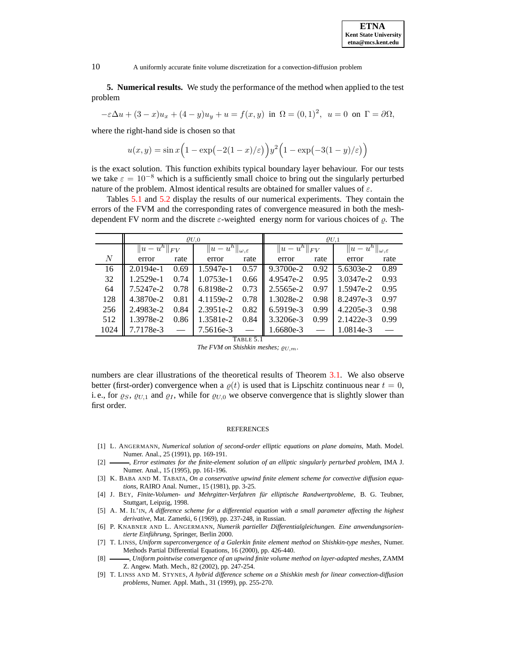**5. Numerical results.** We study the performance of the method when applied to the test problem

$$
-\varepsilon \Delta u + (3-x)u_x + (4-y)u_y + u = f(x, y) \text{ in } \Omega = (0,1)^2, u = 0 \text{ on } \Gamma = \partial \Omega,
$$

where the right-hand side is chosen so that

$$
u(x,y) = \sin x \left( 1 - \exp\left(-2(1-x)/\varepsilon\right) \right) y^2 \left( 1 - \exp\left(-3(1-y)/\varepsilon\right) \right)
$$

is the exact solution. This function exhibits typical boundary layer behaviour. For our tests we take  $\varepsilon = 10^{-8}$  which is a sufficiently small choice to bring out the singularly perturbed nature of the problem. Almost identical results are obtained for smaller values of  $\varepsilon$ .

Tables [5.1](#page-9-10) and [5.2](#page-10-12) display the results of our numerical experiments. They contain the errors of the FVM and the corresponding rates of convergence measured in both the meshdependent FV norm and the discrete  $\varepsilon$ -weighted energy norm for various choices of  $\rho$ . The

|                | $\varrho_{U,0}$             |      |                                             |      | $\varrho_{U,1}$             |      |                                                  |      |  |
|----------------|-----------------------------|------|---------------------------------------------|------|-----------------------------|------|--------------------------------------------------|------|--|
|                | $\overline{\ u-u^h\ _{FV}}$ |      | $\ \overline{u-u^h}\ _{\omega,\varepsilon}$ |      | $\overline{\ u-u^h\ _{FV}}$ |      | $  u-u^h  $<br>$\mathbb{I} \omega . \varepsilon$ |      |  |
| $\overline{N}$ | error                       | rate | error                                       | rate | error                       | rate | error                                            | rate |  |
| 16             | $2.0194e-1$                 | 0.69 | 1.5947e-1                                   | 0.57 | 9.3700e-2                   | 0.92 | 5.6303e-2                                        | 0.89 |  |
| 32             | 1.2529e-1                   | 0.74 | 1.0753e-1                                   | 0.66 | 4.9547e-2                   | 0.95 | 3.0347e-2                                        | 0.93 |  |
| 64             | 7.5247e-2                   | 0.78 | 6.8198e-2                                   | 0.73 | 2.5565e-2                   | 0.97 | 1.5947e-2                                        | 0.95 |  |
| 128            | 4.3870e-2                   | 0.81 | 4.1159e-2                                   | 0.78 | 1.3028e-2                   | 0.98 | 8.2497e-3                                        | 0.97 |  |
| 256            | 2.4983e-2                   | 0.84 | 2.3951e-2                                   | 0.82 | 6.5919e-3                   | 0.99 | 4.2205e-3                                        | 0.98 |  |
| 512            | 1.3978e-2                   | 0.86 | 1.3581e-2                                   | 0.84 | 3.3206e-3                   | 0.99 | 2.1422e-3                                        | 0.99 |  |
| 1024           | 7.7178e-3                   |      | 7.5616e-3                                   |      | 1.6680e-3                   |      | 1.0814e-3                                        |      |  |
| TABLE 5.1      |                             |      |                                             |      |                             |      |                                                  |      |  |

*The FVM on Shishkin meshes;*  $\varrho_{U,m}$ .

<span id="page-9-10"></span>numbers are clear illustrations of the theoretical results of Theorem [3.1.](#page-3-1) We also observe better (first-order) convergence when a  $\varrho(t)$  is used that is Lipschitz continuous near  $t = 0$ , i. e., for  $\varrho_S$ ,  $\varrho_{U,1}$  and  $\varrho_I$ , while for  $\varrho_{U,0}$  we observe convergence that is slightly slower than first order.

#### REFERENCES

- <span id="page-9-1"></span>[1] L. ANGERMANN, *Numerical solution of second-order elliptic equations on plane domains*, Math. Model. Numer. Anal., 25 (1991), pp. 169-191.
- <span id="page-9-2"></span>[2] , *Error estimates for the finite-element solution of an elliptic singularly perturbed problem*, IMA J. Numer. Anal., 15 (1995), pp. 161-196.
- <span id="page-9-0"></span>[3] K. BABA AND M. TABATA, *On a conservative upwind finite element scheme for convective diffusion equations*, RAIRO Anal. Numer., 15 (1981), pp. 3-25.
- <span id="page-9-5"></span>[4] J. BEY, *Finite-Volumen- und Mehrgitter-Verfahren fur¨ elliptische Randwertprobleme*, B. G. Teubner, Stuttgart, Leipzig, 1998.
- <span id="page-9-8"></span>[5] A. M. IL'IN, *A difference scheme for a differential equation with a small parameter affecting the highest derivative*, Mat. Zametki, 6 (1969), pp. 237-248, in Russian.
- <span id="page-9-6"></span>[6] P. KNABNER AND L. ANGERMANN, *Numerik partieller Differentialgleichungen. Eine anwendungsorientierte Einführung*, Springer, Berlin 2000.
- <span id="page-9-4"></span>[7] T. LINSS, *Uniform superconvergence of a Galerkin finite element method on Shishkin-type meshes*, Numer. Methods Partial Differential Equations, 16 (2000), pp. 426-440.
- <span id="page-9-9"></span>[8] , *Uniform pointwise convergence of an upwind finite volume method on layer-adapted meshes*, ZAMM Z. Angew. Math. Mech., 82 (2002), pp. 247-254.
- <span id="page-9-3"></span>[9] T. LINSS AND M. STYNES, *A hybrid difference scheme on a Shishkin mesh for linear convection-diffusion problems*, Numer. Appl. Math., 31 (1999), pp. 255-270.

<span id="page-9-7"></span>